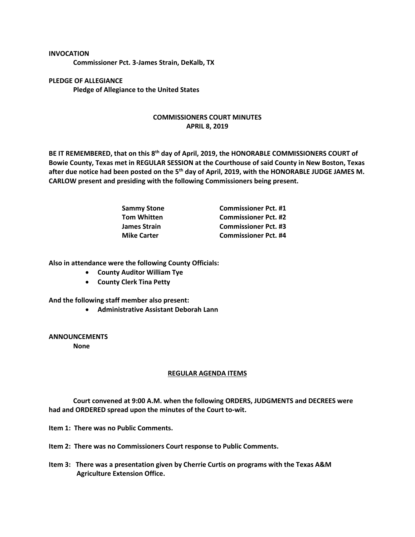## **INVOCATION**

**Commissioner Pct. 3-James Strain, DeKalb, TX**

**PLEDGE OF ALLEGIANCE Pledge of Allegiance to the United States**

## **COMMISSIONERS COURT MINUTES APRIL 8, 2019**

**BE IT REMEMBERED, that on this 8th day of April, 2019, the HONORABLE COMMISSIONERS COURT of Bowie County, Texas met in REGULAR SESSION at the Courthouse of said County in New Boston, Texas after due notice had been posted on the 5th day of April, 2019, with the HONORABLE JUDGE JAMES M. CARLOW present and presiding with the following Commissioners being present.**

| <b>Sammy Stone</b>  | <b>Commissioner Pct. #1</b> |
|---------------------|-----------------------------|
| <b>Tom Whitten</b>  | <b>Commissioner Pct. #2</b> |
| <b>James Strain</b> | <b>Commissioner Pct. #3</b> |
| <b>Mike Carter</b>  | <b>Commissioner Pct. #4</b> |

**Also in attendance were the following County Officials:**

- **County Auditor William Tye**
- **County Clerk Tina Petty**

**And the following staff member also present:**

• **Administrative Assistant Deborah Lann**

**ANNOUNCEMENTS None**

## **REGULAR AGENDA ITEMS**

**Court convened at 9:00 A.M. when the following ORDERS, JUDGMENTS and DECREES were had and ORDERED spread upon the minutes of the Court to-wit.**

**Item 1: There was no Public Comments.**

**Item 2: There was no Commissioners Court response to Public Comments.**

**Item 3: There was a presentation given by Cherrie Curtis on programs with the Texas A&M Agriculture Extension Office.**